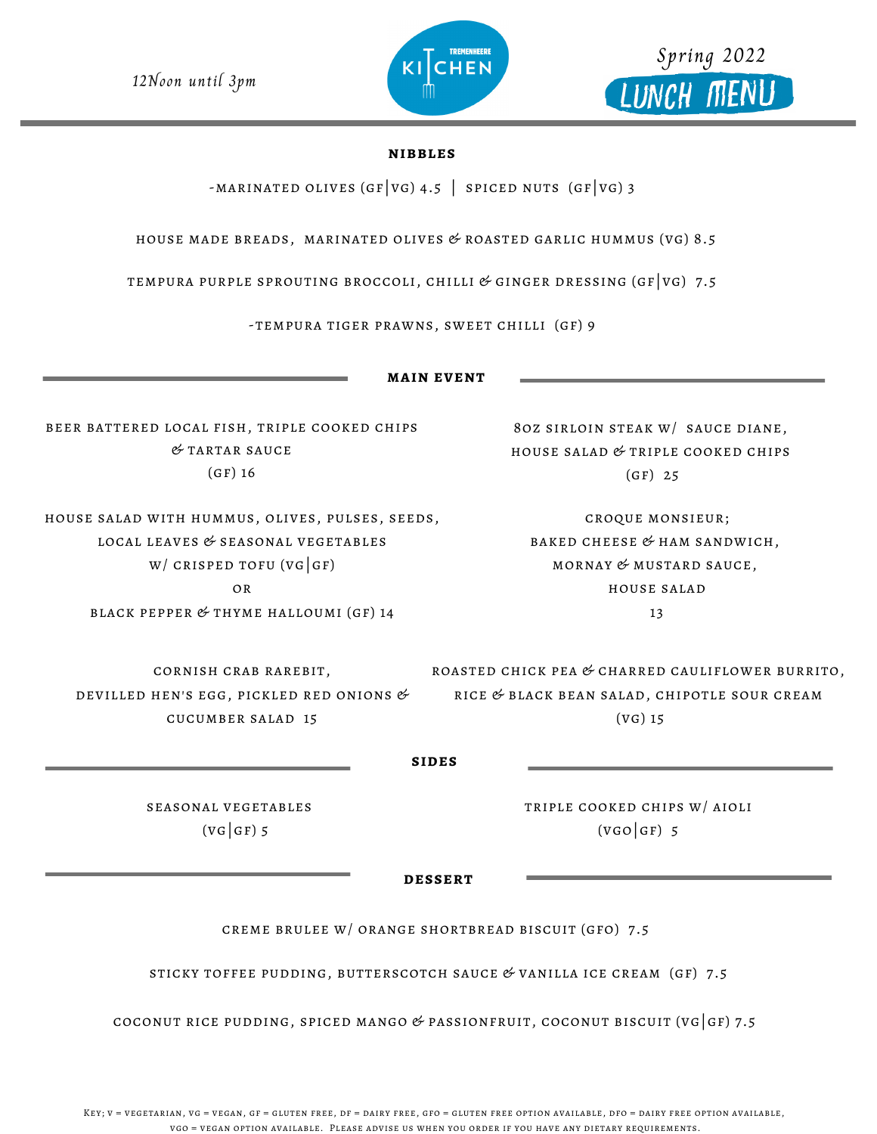12Noon until 3pm

## **nibbles**

-MARINATED OLIVES (GF VG) 4.5 | SPICED NUTS (GF VG) 3

house made breads, marinated olives & roasted garlic hummus (vg) 8.5

tempura purple sprouting broccoli, chilli & ginger dressing (gf|vg) 7.5

-tempura tiger prawns, sweet chilli (gf) 9

beer battered local fish, triple cooked chips  $&$  TARTAR SAUCE  $(GF)$  16

house salad with hummus, olives, pulses, seeds, local leaves & seasonal vegetables  $W/CRISPED TOFU (VG|GF)$ or black pepper & thyme halloumi (gf) 14

cornish crab rarebit,

cucumber salad 15

ROASTED CHICK PEA  $\mathfrak{G}$  CHARRED CAULIFLOWER BURRITO, rice & black bean salad, chipotle sour cream (vg) 15 DEVILLED HEN'S EGG, PICKLED RED ONIONS  $\mathscr C$ 

**sides**

seasonal vegetables  $(VG|GF)$  5

triple cooked chips w/ aioli  $(VGO|GF)$  5

**dessert**

creme brulee w/ orange shortbread biscuit (gfo) 7.5

STICKY TOFFEE PUDDING, BUTTERSCOTCH SAUCE  $&$  VANILLA ICE CREAM (GF) 7.5

coconut rice pudding, spiced mango  $\mathscr G$  passionfruit, coconut biscuit (vg  $|g|$  7.5

Key; v = vegetarian, vg = vegan, gf = gluten free, df = dairy free, gfo = gluten free option available, dfo = dairy free option available, vgo = vegan option available. Please advise us when you order if you have any dietary requirements.





Spring 2022

LUNCH MENU

8oz sirloin steak w/ sauce diane, house salad & triple cooked chips (gf) 25

croque monsieur; baked cheese & ham sandwich, mornay & mustard sauce, house salad 13

**main event**